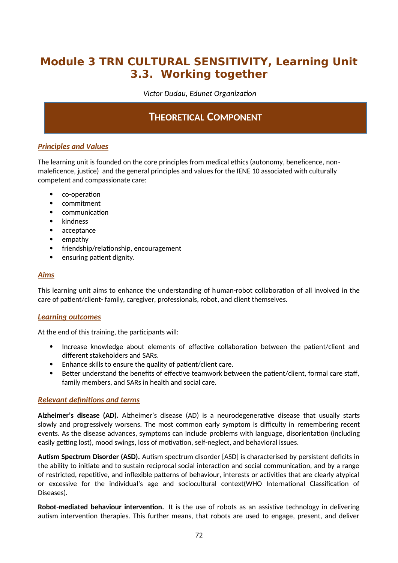# **Module 3 TRN CULTURAL SENSITIVITY, Learning Unit 3.3. Working together**

*Victor Dudau, Edunet Organization*

# **THEORETICAL COMPONENT**

### *Principles and Values*

The learning unit is founded on the core principles from medical ethics (autonomy, beneficence, nonmaleficence, justice) and the general principles and values for the IENE 10 associated with culturally competent and compassionate care:

- co-operation
- commitment
- communication
- kindness
- acceptance
- empathy
- friendship/relationship, encouragement
- ensuring patient dignity.

### *Aims*

This learning unit aims to enhance the understanding of human-robot collaboration of all involved in the care of patient/client- family, caregiver, professionals, robot, and client themselves.

### *Learning outcomes*

At the end of this training, the participants will:

- Increase knowledge about elements of effective collaboration between the patient/client and different stakeholders and SARs.
- Enhance skills to ensure the quality of patient/client care.
- Better understand the benefits of effective teamwork between the patient/client, formal care staff, family members, and SARs in health and social care.

### *Relevant definitions and terms*

**Alzheimer's disease (AD).** Alzheimer's disease (AD) is a neurodegenerative disease that usually starts slowly and progressively worsens. The most common early symptom is difficulty in remembering recent events. As the disease advances, symptoms can include problems with language, disorientation (including easily getting lost), mood swings, loss of motivation, self-neglect, and behavioral issues.

**Autism Spectrum Disorder (ASD).** Autism spectrum disorder [ASD] is characterised by persistent deficits in the ability to initiate and to sustain reciprocal social interaction and social communication, and by a range of restricted, repetitive, and inflexible patterns of behaviour, interests or activities that are clearly atypical or excessive for the individual's age and sociocultural context(WHO International Classification of Diseases).

**Robot-mediated behaviour intervention.** It is the use of robots as an assistive technology in delivering autism intervention therapies. This further means, that robots are used to engage, present, and deliver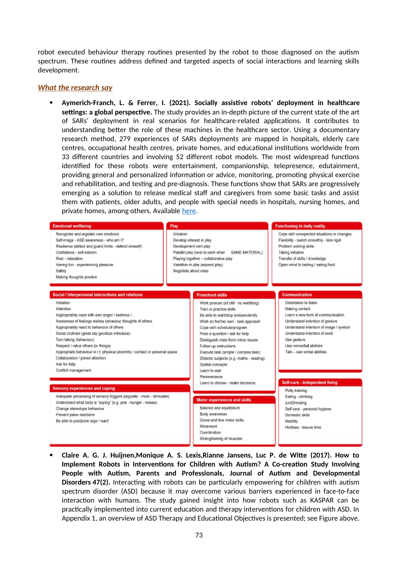robot executed behaviour therapy routines presented by the robot to those diagnosed on the autism spectrum. These routines address defined and targeted aspects of social interactions and learning skills development.

#### *What the research say*

 **Aymerich-Franch, L. & Ferrer, I. (2021). Socially assistive robots' deployment in healthcare settings: a global perspective.** The study provides an in-depth picture of the current state of the art of SARs' deployment in real scenarios for healthcare-related applications. It contributes to understanding better the role of these machines in the healthcare sector. Using a documentary research method, 279 experiences of SARs deployments are mapped in hospitals, elderly care centres, occupational health centres, private homes, and educational institutions worldwide from 33 different countries and involving 52 different robot models. The most widespread functions identified for these robots were entertainment, companionship, telepresence, edutainment, providing general and personalized information or advice, monitoring, promoting physical exercise and rehabilitation, and testing and pre-diagnosis. These functions show that SARs are progressively emerging as a solution to release medical staff and caregivers from some basic tasks and assist them with patients, older adults, and people with special needs in hospitals, nursing homes, and private homes, among others. Available [here](https://arxiv.org/pdf/2110.07404).

| <b>Emotional wellbeing</b>                                                                                                                                                                                                                                                                                                                                                                                                                                     | Play                                                                                                                                                                                                                                                                                                                                                                                                                      | <b>Functioning in daily reality</b>                                                                                                                                                                                                                                |
|----------------------------------------------------------------------------------------------------------------------------------------------------------------------------------------------------------------------------------------------------------------------------------------------------------------------------------------------------------------------------------------------------------------------------------------------------------------|---------------------------------------------------------------------------------------------------------------------------------------------------------------------------------------------------------------------------------------------------------------------------------------------------------------------------------------------------------------------------------------------------------------------------|--------------------------------------------------------------------------------------------------------------------------------------------------------------------------------------------------------------------------------------------------------------------|
| Recognise and regulate own emotions<br>Self-image - ASD awareness - who am I?<br>Resilience (detect and guard limits - defend oneself)<br>Confidence - self esteem<br>Rest - relaxation<br>Having fun - experiencing pleasure<br>Safety<br>Making thoughts positive                                                                                                                                                                                            | Imitation<br>Develop interest in play<br>Development own play<br>SAME MATERIAL)<br>Parallel play (next to each other<br>Playing together - collaborative play<br>Variation in play (expand play)<br>Negotiate about rules                                                                                                                                                                                                 | Cope with unexpected situations or changes<br>Flexibility - switch smoothly - less rigid<br>Problem solving skills<br>Taking initiative<br>Transfer of skills / knowledge<br>Open mind to tasting / eating food                                                    |
| Social / Interpersonal interactions and relations                                                                                                                                                                                                                                                                                                                                                                                                              | <b>Preschool skills</b>                                                                                                                                                                                                                                                                                                                                                                                                   | <b>Communication</b>                                                                                                                                                                                                                                               |
| Imitation<br>Attention<br>Appropriately cope with own anger / sadness /<br>Awareness of feelings wishes behaviour thoughts of others<br>Appropriately react to behaviour of others<br>Social routines (greet say goodbye introduce)<br>Turn taking (behaviour)<br>Respect / value others (or things)<br>Appropriate behaviour w.r.t. physical proximity / contact or personal space<br>Collaboration / joined attention<br>Ask for help<br>Conflict management | Work posture (sit still - no wobbling)<br>Train or practice skills<br>Be able to start/stop independently<br>Work on his/her own - task approach<br>Cope with schedule/program<br>Pose a question / ask for help<br>Distinguish main from minor issues<br>Follow up instructions<br>Execute task (simple / complex task)<br>Didactic subjects (e.g. maths - reading)<br>Spatial concepts<br>Learn to wait<br>Perseverance | Orientation to listen<br>Making contact<br>Learn a new form of communication<br>Understand intention of gesture<br>Understand intention of image / symbol<br>Understand intention of word<br>Use gesture<br>Use nonverbal abilities<br>Talk - use verbal abilities |
| <b>Sensory experiences and coping</b>                                                                                                                                                                                                                                                                                                                                                                                                                          | Learn to choose - make decisions                                                                                                                                                                                                                                                                                                                                                                                          | <b>Self-care - independent living</b>                                                                                                                                                                                                                              |
| Adequate processing of sensory triggers (regulate - mute - stimulate)<br>Understand what body is "saying" (e.g. pee - hunger - noises)<br>Change stereotype behaviour<br>Prevent panic reactions<br>Be able to postpone urge / want                                                                                                                                                                                                                            | <b>Motor experiences and skills</b><br>Balance and equilibrium<br>Body awareness<br>Grove and fine motor skills.<br>Movement<br>Coordination<br>Strengthening of muscles                                                                                                                                                                                                                                                  | Potty training<br>Eating - drinking<br>(un)Dressing<br>Self-care - personal hygiene<br>Domestic skills<br>Mobility<br>Hobbies - leisure time                                                                                                                       |

 **Claire A. G. J. Huijnen,Monique A. S. Lexis,Rianne Jansens, Luc P. de Witte (2017). How to Implement Robots in Interventions for Children with Autism? A Co-creation Study Involving People with Autism, Parents and Professionals, Journal of Autism and Developmental Disorders 47(2).** Interacting with robots can be particularly empowering for children with autism spectrum disorder (ASD) because it may overcome various barriers experienced in face-to-face interaction with humans. The study gained insight into how robots such as KASPAR can be practically implemented into current education and therapy interventions for children with ASD. In Appendix 1, an overview of ASD Therapy and Educational Objectives is presented; see Figure above.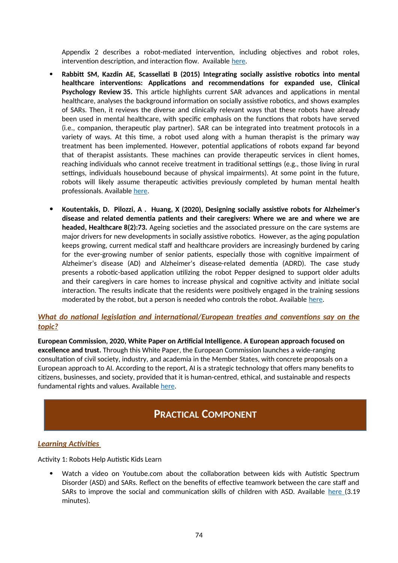Appendix 2 describes a robot-mediated intervention, including objectives and robot roles, intervention description, and interaction flow. Available [here](https://www.researchgate.net/publication/318254216_How_to_Implement_Robots_in_Interventions_for_Children_with_Autism_A_Co-creation_Study_Involving_People_with_Autism_Parents_and_Professionals).

- **Rabbitt SM, Kazdin AE, Scassellati B (2015) Integrating socially assistive robotics into mental healthcare interventions: Applications and recommendations for expanded use, Clinical Psychology Review 35.** This article highlights current SAR advances and applications in mental healthcare, analyses the background information on socially assistive robotics, and shows examples of SARs. Then, it reviews the diverse and clinically relevant ways that these robots have already been used in mental healthcare, with specific emphasis on the functions that robots have served (i.e., companion, therapeutic play partner). SAR can be integrated into treatment protocols in a variety of ways. At this time, a robot used along with a human therapist is the primary way treatment has been implemented. However, potential applications of robots expand far beyond that of therapist assistants. These machines can provide therapeutic services in client homes, reaching individuals who cannot receive treatment in traditional settings (e.g., those living in rural settings, individuals housebound because of physical impairments). At some point in the future, robots will likely assume therapeutic activities previously completed by human mental health professionals. Available [here.](https://www.csee.umbc.edu/courses/graduate/691r/fall2016/Slides/MentalHealthSurvey.pdf)
- **Koutentakis, D. Pilozzi, A . Huang, X (2020), Designing socially assistive robots for Alzheimer's disease and related dementia patients and their caregivers: Where we are and where we are headed, Healthcare 8(2):73.** Ageing societies and the associated pressure on the care systems are major drivers for new developments in socially assistive robotics. However, as the aging population keeps growing, current medical staff and healthcare providers are increasingly burdened by caring for the ever-growing number of senior patients, especially those with cognitive impairment of Alzheimer's disease (AD) and Alzheimer's disease-related dementia (ADRD). The case study presents a robotic-based application utilizing the robot Pepper designed to support older adults and their caregivers in care homes to increase physical and cognitive activity and initiate social interaction. The results indicate that the residents were positively engaged in the training sessions moderated by the robot, but a person is needed who controls the robot. Available [here.](https://www.researchgate.net/publication/340208984_Designing_Socially_Assistive_Robots_for_Alzheimer)

### *What do national legislation and international/European treaties and conventions say on the topic?*

**European Commission, 2020, White Paper on Artificial Intelligence. A European approach focused on excellence and trust.** Through this White Paper, the European Commission launches a wide-ranging consultation of civil society, industry, and academia in the Member States, with concrete proposals on a European approach to AI. According to the report, AI is a strategic technology that offers many benefits to citizens, businesses, and society, provided that it is human-centred, ethical, and sustainable and respects fundamental rights and values. Available [here](https://ec.europa.eu/info/sites/default/files/commission-white-paper-artificial-intelligence-feb2020_en.pdf).

### **PRACTICAL COMPONENT**

### *Learning Activities*

Activity 1: Robots Help Autistic Kids Learn

 Watch a video on Youtube.com about the collaboration between kids with Autistic Spectrum Disorder (ASD) and SARs. Reflect on the benefits of effective teamwork between the care staff and SARs to improve the social and communication skills of children with ASD. Available [here](https://www.youtube.com/watch?v=oppi4cUteqs) (3.19 minutes).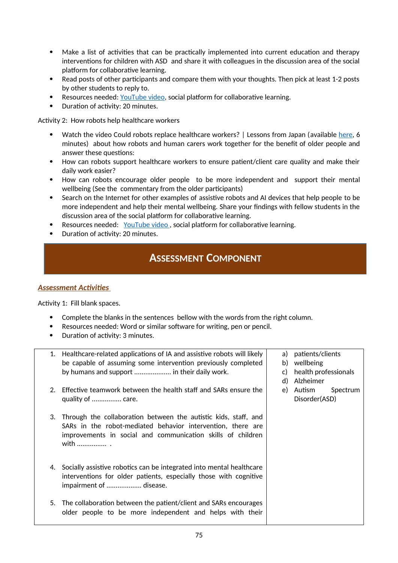- Make a list of activities that can be practically implemented into current education and therapy interventions for children with ASD and share it with colleagues in the discussion area of the social platform for collaborative learning.
- Read posts of other participants and compare them with your thoughts. Then pick at least 1-2 posts by other students to reply to.
- Resources needed: [YouTube video](https://www.youtube.com/watch?v=oppi4cUteqs), social platform for collaborative learning.
- Duration of activity: 20 minutes.

Activity 2: How robots help healthcare workers

- Watch the video Could robots replace healthcare workers? | Lessons from Japan (available [here](https://www.youtube.com/watch?v=T1oToFJ75Fg), 6 minutes) about how robots and human carers work together for the benefit of older people and answer these questions:
- How can robots support healthcare workers to ensure patient/client care quality and make their daily work easier?
- How can robots encourage older people to be more independent and support their mental wellbeing (See the commentary from the older participants)
- Search on the Internet for other examples of assistive robots and AI devices that help people to be more independent and help their mental wellbeing. Share your findings with fellow students in the discussion area of the social platform for collaborative learning.
- Resources needed: YouTube video, social platform for collaborative learning.
- Duration of activity: 20 minutes.

### **ASSESSMENT COMPONENT**

### *Assessment Activities*

Activity 1: Fill blank spaces.

- Complete the blanks in the sentences bellow with the words from the right column.
- Resources needed: Word or similar software for writing, pen or pencil.
- Duration of activity: 3 minutes.

| 1. | Healthcare-related applications of IA and assistive robots will likely | a) | patients/clients     |
|----|------------------------------------------------------------------------|----|----------------------|
|    | be capable of assuming some intervention previously completed          | b) | wellbeing            |
|    | by humans and support  in their daily work.                            | C) | health professionals |
|    |                                                                        | d) | Alzheimer            |
| 2. | Effective teamwork between the health staff and SARs ensure the        | e) | Autism<br>Spectrum   |
|    | quality of  care.                                                      |    | Disorder(ASD)        |
|    |                                                                        |    |                      |
| 3. | Through the collaboration between the autistic kids, staff, and        |    |                      |
|    | SARs in the robot-mediated behavior intervention, there are            |    |                      |
|    | improvements in social and communication skills of children<br>with    |    |                      |
|    |                                                                        |    |                      |
|    |                                                                        |    |                      |
| 4. | Socially assistive robotics can be integrated into mental healthcare   |    |                      |
|    | interventions for older patients, especially those with cognitive      |    |                      |
|    | impairment of  disease.                                                |    |                      |
|    |                                                                        |    |                      |
| 5. | The collaboration between the patient/client and SARs encourages       |    |                      |
|    | older people to be more independent and helps with their               |    |                      |